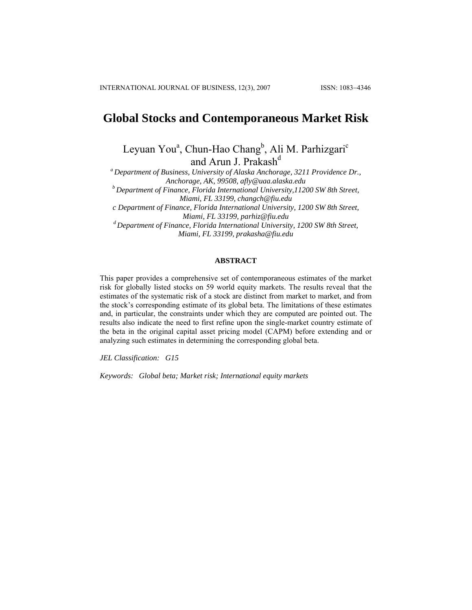# **Global Stocks and Contemporaneous Market Risk**

Leyuan You<sup>a</sup>, Chun-Hao Chang<sup>b</sup>, Ali M. Parhizgari<sup>c</sup> and Arun J. Prakash<sup>d</sup>

*a Department of Business, University of Alaska Anchorage, 3211 Providence Dr., Anchorage, AK, 99508, [afly@uaa.alaska.edu](mailto:afly@uaa.alaska.edu) b Department of Finance, Florida International University,11200 SW 8th Street,* 

*Miami, FL 33199, changch@fiu.edu* 

*c Department of Finance, Florida International University, 1200 SW 8th Street, Miami, FL 33199, parhiz@fiu.edu* 

*d Department of Finance, Florida International University, 1200 SW 8th Street, Miami, FL 33199, prakasha@fiu.edu*

## **ABSTRACT**

This paper provides a comprehensive set of contemporaneous estimates of the market risk for globally listed stocks on 59 world equity markets. The results reveal that the estimates of the systematic risk of a stock are distinct from market to market, and from the stock's corresponding estimate of its global beta. The limitations of these estimates and, in particular, the constraints under which they are computed are pointed out. The results also indicate the need to first refine upon the single-market country estimate of the beta in the original capital asset pricing model (CAPM) before extending and or analyzing such estimates in determining the corresponding global beta.

*JEL Classification: G15* 

*Keywords: Global beta; Market risk; International equity markets*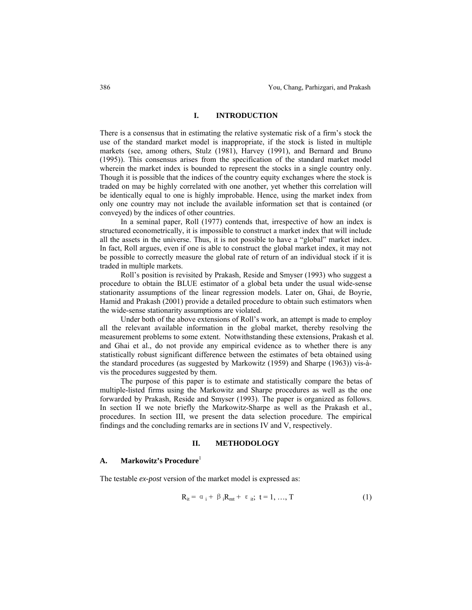# **I. INTRODUCTION**

There is a consensus that in estimating the relative systematic risk of a firm's stock the use of the standard market model is inappropriate, if the stock is listed in multiple markets (see, among others, Stulz (1981), Harvey (1991), and Bernard and Bruno (1995)). This consensus arises from the specification of the standard market model wherein the market index is bounded to represent the stocks in a single country only. Though it is possible that the indices of the country equity exchanges where the stock is traded on may be highly correlated with one another, yet whether this correlation will be identically equal to one is highly improbable. Hence, using the market index from only one country may not include the available information set that is contained (or conveyed) by the indices of other countries.

In a seminal paper, Roll (1977) contends that, irrespective of how an index is structured econometrically, it is impossible to construct a market index that will include all the assets in the universe. Thus, it is not possible to have a "global" market index. In fact, Roll argues, even if one is able to construct the global market index, it may not be possible to correctly measure the global rate of return of an individual stock if it is traded in multiple markets.

Roll's position is revisited by Prakash, Reside and Smyser (1993) who suggest a procedure to obtain the BLUE estimator of a global beta under the usual wide-sense stationarity assumptions of the linear regression models. Later on, Ghai, de Boyrie, Hamid and Prakash (2001) provide a detailed procedure to obtain such estimators when the wide-sense stationarity assumptions are violated.

Under both of the above extensions of Roll's work, an attempt is made to employ all the relevant available information in the global market, thereby resolving the measurement problems to some extent. Notwithstanding these extensions, Prakash et al. and Ghai et al., do not provide any empirical evidence as to whether there is any statistically robust significant difference between the estimates of beta obtained using the standard procedures (as suggested by Markowitz (1959) and Sharpe (1963)) vis-àvis the procedures suggested by them.

The purpose of this paper is to estimate and statistically compare the betas of multiple-listed firms using the Markowitz and Sharpe procedures as well as the one forwarded by Prakash, Reside and Smyser (1993). The paper is organized as follows. In section II we note briefly the Markowitz-Sharpe as well as the Prakash et al., procedures. In section III, we present the data selection procedure. The empirical findings and the concluding remarks are in sections IV and V, respectively.

#### **II. METHODOLOGY**

#### **A. Markowitz's Procedure**<sup>1</sup>

The testable *ex-post* version of the market model is expressed as:

$$
R_{it} = \alpha_i + \beta_i R_{mt} + \varepsilon_{it}; \ t = 1, ..., T
$$
 (1)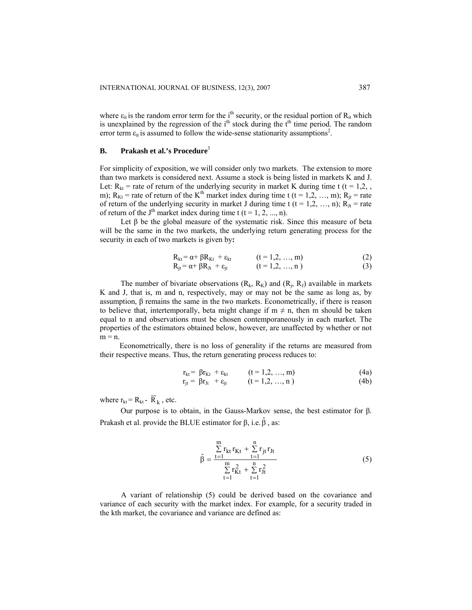where  $\varepsilon_{it}$  is the random error term for the i<sup>th</sup> security, or the residual portion of  $R_{it}$  which is unexplained by the regression of the  $i<sup>th</sup>$  stock during the  $t<sup>th</sup>$  time period. The random error term  $\varepsilon_{it}$  is assumed to follow the wide-sense stationarity assumptions<sup>2</sup>.

# **B.** Prakash et al.'s Procedure<sup>3</sup>

For simplicity of exposition, we will consider only two markets. The extension to more than two markets is considered next. Assume a stock is being listed in markets K and J. Let:  $R_{kt}$  = rate of return of the underlying security in market K during time t (t = 1,2, , m);  $R_{kt}$  = rate of return of the K<sup>th</sup> market index during time t (t = 1,2, …, m);  $R_{it}$  = rate of return of the underlying security in market J during time t (t = 1,2, ..., n);  $R_{Jt}$  = rate of return of the J<sup>th</sup> market index during time t (t = 1, 2, ..., n).

Let  $\beta$  be the global measure of the systematic risk. Since this measure of beta will be the same in the two markets, the underlying return generating process for the security in each of two markets is given by**:** 

$$
R_{kt} = \alpha + \beta R_{Kt} + \varepsilon_{kt}
$$
 (t = 1,2, ..., m)  
\n
$$
R_{jt} = \alpha + \beta R_{Jt} + \varepsilon_{jt}
$$
 (t = 1,2, ..., n) (3)

The number of bivariate observations  $(R_k, R_k)$  and  $(R_i, R_j)$  available in markets K and J, that is, m and n, respectively, may or may not be the same as long as, by assumption,  $β$  remains the same in the two markets. Econometrically, if there is reason to believe that, intertemporally, beta might change if  $m \neq n$ , then m should be taken equal to n and observations must be chosen contemporaneously in each market. The properties of the estimators obtained below, however, are unaffected by whether or not  $m = n$ .

 Econometrically, there is no loss of generality if the returns are measured from their respective means. Thus, the return generating process reduces to:

$$
r_{kt} = \beta r_{Kt} + \varepsilon_{kt} \qquad (t = 1, 2, ..., m) \qquad (4a)
$$

$$
r_{jt} = \beta r_{Jt} + \varepsilon_{jt} \qquad (t = 1, 2, ..., n)
$$
 (4b)

where  $r_{kt} = R_{kt} - \overline{R}_k$ , etc.

 Our purpose is to obtain, in the Gauss-Markov sense, the best estimator for β. Prakash et al. provide the BLUE estimator for  $\beta$ , i.e.  $\hat{\beta}$ , as:

$$
\hat{\beta} = \frac{\sum_{t=1}^{m} r_{kt} r_{Kt} + \sum_{t=1}^{n} r_{jt} r_{Jt}}{\sum_{t=1}^{m} r_{Kt}^2 + \sum_{t=1}^{n} r_{Jt}^2}
$$
(5)

A variant of relationship (5) could be derived based on the covariance and variance of each security with the market index. For example, for a security traded in the kth market, the covariance and variance are defined as: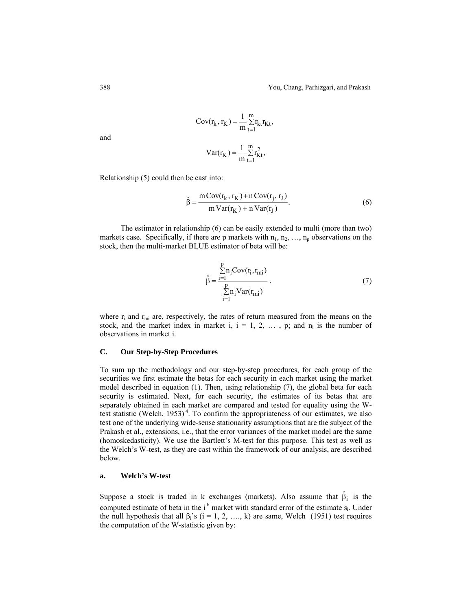$$
Cov(r_{k}, r_{K}) = \frac{1}{m} \sum_{t=1}^{m} r_{kt} r_{Kt},
$$

$$
Var(r_{K}) = \frac{1}{m} \sum_{t=1}^{m} r_{Kt}^{2},
$$

 $t = 1$ 

and

Relationship 
$$
(5)
$$
 could then be cast into:

$$
\hat{\beta} = \frac{m \operatorname{Cov}(r_k, r_K) + n \operatorname{Cov}(r_j, r_J)}{m \operatorname{Var}(r_K) + n \operatorname{Var}(r_J)}.
$$
\n(6)

The estimator in relationship (6) can be easily extended to multi (more than two) markets case. Specifically, if there are p markets with  $n_1, n_2, \ldots, n_p$  observations on the stock, then the multi-market BLUE estimator of beta will be:

$$
\hat{\beta} = \frac{\sum_{i=1}^{p} n_i \text{Cov}(r_i, r_{mi})}{\sum_{i=1}^{p} n_i \text{Var}(r_{mi})}.
$$
\n(7)

where  $r_i$  and  $r_{mi}$  are, respectively, the rates of return measured from the means on the stock, and the market index in market i,  $i = 1, 2, \ldots$ , p; and  $n_i$  is the number of observations in market i.

# **C. Our Step-by-Step Procedures**

To sum up the methodology and our step-by-step procedures, for each group of the securities we first estimate the betas for each security in each market using the market model described in equation (1). Then, using relationship (7), the global beta for each security is estimated. Next, for each security, the estimates of its betas that are separately obtained in each market are compared and tested for equality using the Wtest statistic (Welch, 1953)<sup>4</sup>. To confirm the appropriateness of our estimates, we also test one of the underlying wide-sense stationarity assumptions that are the subject of the Prakash et al., extensions, i.e., that the error variances of the market model are the same (homoskedasticity). We use the Bartlett's M-test for this purpose. This test as well as the Welch's W-test, as they are cast within the framework of our analysis, are described below.

#### **a. Welch's W-test**

Suppose a stock is traded in k exchanges (markets). Also assume that  $\hat{\beta}_i$  is the computed estimate of beta in the i<sup>th</sup> market with standard error of the estimate s<sub>i</sub>. Under the null hypothesis that all  $\beta_i$ 's (i = 1, 2, ..., k) are same, Welch (1951) test requires the computation of the W-statistic given by: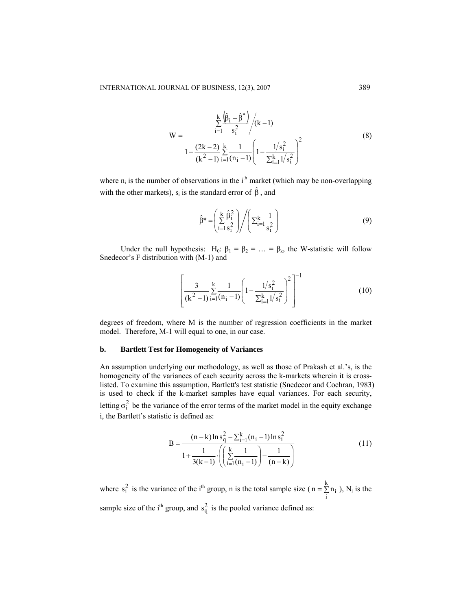$$
W = \frac{\sum_{i=1}^{k} \frac{(\hat{\beta}_{i} - \hat{\beta}^{*})}{s_{i}^{2}} / (k - 1)}{1 + \frac{(2k - 2)}{(k^{2} - 1)} \sum_{i=1}^{k} \frac{1}{(n_{i} - 1)} \left(1 - \frac{1/s_{i}^{2}}{\sum_{i=1}^{k} 1/s_{i}^{2}}\right)^{2}}
$$
(8)

where  $n_i$  is the number of observations in the i<sup>th</sup> market (which may be non-overlapping with the other markets),  $s_i$  is the standard error of  $\hat{\beta}$ , and

$$
\hat{\beta}^* = \left(\sum_{i=1}^k \frac{\hat{\beta}_i^2}{s_i^2}\right) \bigg/ \left(\sum_{i=1}^k \frac{1}{s_i^2}\right) \tag{9}
$$

Under the null hypothesis: H<sub>0</sub>:  $\beta_1 = \beta_2 = ... = \beta_k$ , the W-statistic will follow Snedecor's F distribution with (M-1) and

$$
\left[\frac{3}{(k^2-1)}\sum_{i=1}^k \frac{1}{(n_i-1)} \left(1 - \frac{1/s_i^2}{\sum_{i=1}^k 1/s_i^2}\right)^2\right]^{-1} \tag{10}
$$

degrees of freedom, where M is the number of regression coefficients in the market model. Therefore, M-1 will equal to one, in our case.

#### **b. Bartlett Test for Homogeneity of Variances**

An assumption underlying our methodology, as well as those of Prakash et al.'s, is the homogeneity of the variances of each security across the k-markets wherein it is crosslisted. To examine this assumption, Bartlett's test statistic (Snedecor and Cochran, 1983) is used to check if the k-market samples have equal variances. For each security, letting  $\sigma_i^2$  be the variance of the error terms of the market model in the equity exchange i, the Bartlett's statistic is defined as:

B = 
$$
\frac{(n-k)\ln s_q^2 - \sum_{i=1}^k (n_i - 1)\ln s_i^2}{1 + \frac{1}{3(k-1)} \cdot \left( \left( \sum_{i=1}^k \frac{1}{(n_i - 1)} \right) - \frac{1}{(n-k)} \right)}
$$
(11)

where  $s_i^2$  is the variance of the i<sup>th</sup> group, n is the total sample size ( $n = \sum n_i$ ), N  $n = \sum_{i} n_i$ , N<sub>i</sub> is the sample size of the i<sup>th</sup> group, and  $s_q^2$  is the pooled variance defined as: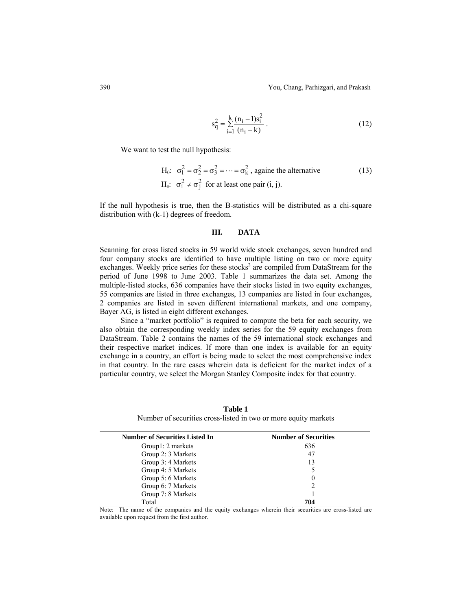390 You, Chang, Parhizgari, and Prakash

$$
s_q^2 = \sum_{i=1}^k \frac{(n_i - 1)s_i^2}{(n_i - k)}.
$$
 (12)

We want to test the null hypothesis:

H<sub>0</sub>: 
$$
\sigma_1^2 = \sigma_2^2 = \sigma_3^2 = \dots = \sigma_k^2
$$
, again the alternative  
H<sub>a</sub>:  $\sigma_i^2 \neq \sigma_j^2$  for at least one pair (i, j). (13)

If the null hypothesis is true, then the B-statistics will be distributed as a chi-square distribution with (k-1) degrees of freedom.

#### **III. DATA**

Scanning for cross listed stocks in 59 world wide stock exchanges, seven hundred and four company stocks are identified to have multiple listing on two or more equity exchanges. Weekly price series for these stocks<sup>2</sup> are compiled from DataStream for the period of June 1998 to June 2003. Table 1 summarizes the data set. Among the multiple-listed stocks, 636 companies have their stocks listed in two equity exchanges, 55 companies are listed in three exchanges, 13 companies are listed in four exchanges, 2 companies are listed in seven different international markets, and one company, Bayer AG, is listed in eight different exchanges.

 Since a "market portfolio" is required to compute the beta for each security, we also obtain the corresponding weekly index series for the 59 equity exchanges from DataStream. Table 2 contains the names of the 59 international stock exchanges and their respective market indices. If more than one index is available for an equity exchange in a country, an effort is being made to select the most comprehensive index in that country. In the rare cases wherein data is deficient for the market index of a particular country, we select the Morgan Stanley Composite index for that country.

**Number of Securities Listed In Number of Securities** Group1: 2 markets 636 Group 2: 3 Markets 47 Group 3: 4 Markets 13 Group 4: 5 Markets 5<br>
Group 5: 6 Markets 6 Group 5: 6 Markets Group 6: 7 Markets 2 Group 7: 8 Markets 1 Total **704** 

**Table 1**  Number of securities cross-listed in two or more equity markets

Note: The name of the companies and the equity exchanges wherein their securities are cross-listed are available upon request from the first author.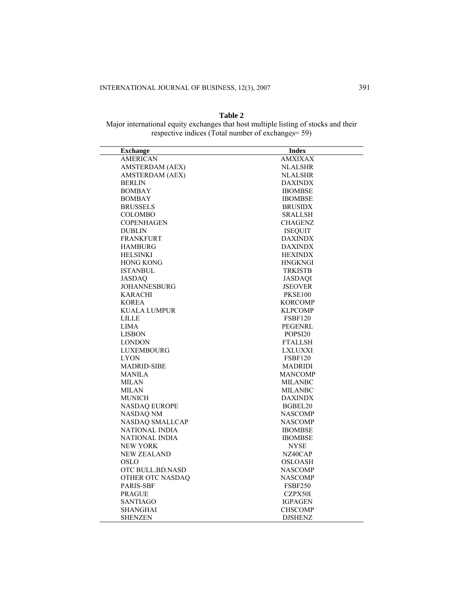$\overline{\phantom{0}}$ 

 $\equiv$ 

# **Table 2**

Major international equity exchanges that host multiple listing of stocks and their respective indices (Total number of exchanges= 59)

| <b>Index</b>        |
|---------------------|
| <b>AMXIXAX</b>      |
| <b>NLALSHR</b>      |
| <b>NLALSHR</b>      |
| <b>DAXINDX</b>      |
| <b>IBOMBSE</b>      |
| <b>IBOMBSE</b>      |
| <b>BRUSIDX</b>      |
| SRALLSH             |
| CHAGENZ             |
| <b>ISEQUIT</b>      |
| <b>DAXINDX</b>      |
| <b>DAXINDX</b>      |
| <b>HEXINDX</b>      |
| <b>HNGKNGI</b>      |
| <b>TRKISTB</b>      |
| <b>JASDAOI</b>      |
| <b>JSEOVER</b>      |
| PKSE100             |
| <b>KORCOMP</b>      |
| <b>KLPCOMP</b>      |
| <b>FSBF120</b>      |
| PEGENRL             |
| POPSI <sub>20</sub> |
| <b>FTALLSH</b>      |
| <b>LXLUXXI</b>      |
| <b>FSBF120</b>      |
| MADRIDI             |
| <b>MANCOMP</b>      |
| MILANBC             |
| <b>MILANBC</b>      |
| <b>DAXINDX</b>      |
| BGBEL20             |
| <b>NASCOMP</b>      |
| <b>NASCOMP</b>      |
| <b>IBOMBSE</b>      |
| <b>IBOMBSE</b>      |
| <b>NYSE</b>         |
| NZ40CAP             |
| <b>OSLOASH</b>      |
| <b>NASCOMP</b>      |
| <b>NASCOMP</b>      |
| FSBF250             |
| CZPX50I             |
| <b>IGPAGEN</b>      |
| <b>CHSCOMP</b>      |
| <b>DJSHENZ</b>      |
|                     |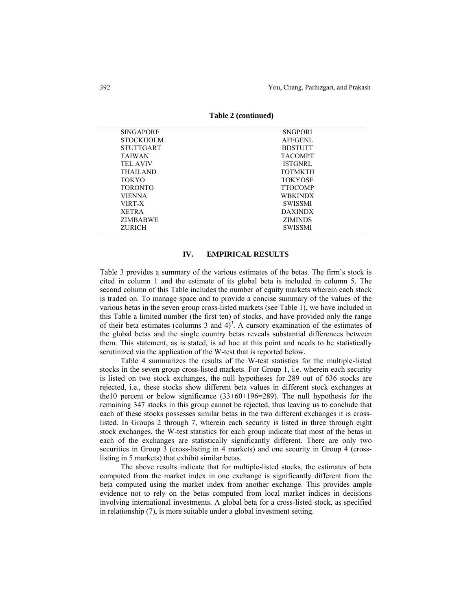| <b>SINGAPORE</b> | <b>SNGPORI</b> |
|------------------|----------------|
| <b>STOCKHOLM</b> | <b>AFFGENL</b> |
| <b>STUTTGART</b> | <b>BDSTUTT</b> |
| <b>TAIWAN</b>    | <b>TACOMPT</b> |
| <b>TEL AVIV</b>  | <b>ISTGNRL</b> |
| <b>THAILAND</b>  | <b>TOTMKTH</b> |
| <b>TOKYO</b>     | <b>TOKYOSE</b> |
| <b>TORONTO</b>   | <b>TTOCOMP</b> |
| VIENNA           | <b>WBKINDX</b> |
| VIRT-X           | <b>SWISSMI</b> |
| <b>XETRA</b>     | <b>DAXINDX</b> |
| <b>ZIMBABWE</b>  | <b>ZIMINDS</b> |
| <b>ZURICH</b>    | <b>SWISSMI</b> |

**Table 2 (continued)** 

# **IV. EMPIRICAL RESULTS**

Table 3 provides a summary of the various estimates of the betas. The firm's stock is cited in column 1 and the estimate of its global beta is included in column 5. The second column of this Table includes the number of equity markets wherein each stock is traded on. To manage space and to provide a concise summary of the values of the various betas in the seven group cross-listed markets (see Table 1), we have included in this Table a limited number (the first ten) of stocks, and have provided only the range of their beta estimates (columns 3 and  $4)^3$ . A cursory examination of the estimates of the global betas and the single country betas reveals substantial differences between them. This statement, as is stated, is ad hoc at this point and needs to be statistically scrutinized via the application of the W-test that is reported below.

Table 4 summarizes the results of the W-test statistics for the multiple-listed stocks in the seven group cross-listed markets. For Group 1, i.e. wherein each security is listed on two stock exchanges, the null hypotheses for 289 out of 636 stocks are rejected, i.e., these stocks show different beta values in different stock exchanges at the10 percent or below significance  $(33+60+196=289)$ . The null hypothesis for the remaining 347 stocks in this group cannot be rejected, thus leaving us to conclude that each of these stocks possesses similar betas in the two different exchanges it is crosslisted. In Groups 2 through 7, wherein each security is listed in three through eight stock exchanges, the W-test statistics for each group indicate that most of the betas in each of the exchanges are statistically significantly different. There are only two securities in Group 3 (cross-listing in 4 markets) and one security in Group 4 (crosslisting in 5 markets) that exhibit similar betas.

 The above results indicate that for multiple-listed stocks, the estimates of beta computed from the market index in one exchange is significantly different from the beta computed using the market index from another exchange. This provides ample evidence not to rely on the betas computed from local market indices in decisions involving international investments. A global beta for a cross-listed stock, as specified in relationship (7), is more suitable under a global investment setting.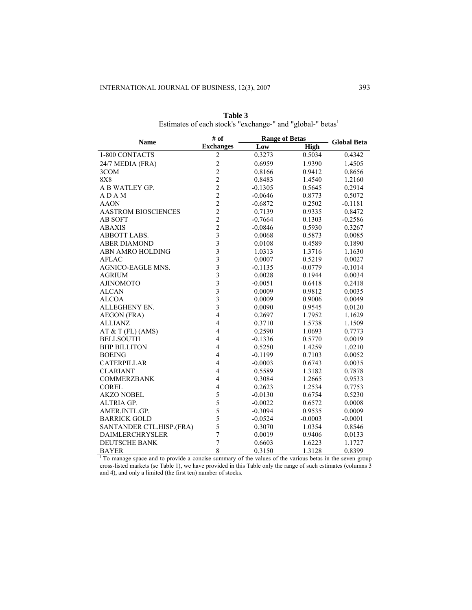| <b>Name</b>                | # of                     | <b>Range of Betas</b> | <b>Global Beta</b> |           |
|----------------------------|--------------------------|-----------------------|--------------------|-----------|
|                            | <b>Exchanges</b>         | Low                   | <b>High</b>        |           |
| 1-800 CONTACTS             | $\overline{c}$           | 0.3273                | 0.5034             | 0.4342    |
| 24/7 MEDIA (FRA)           | $\overline{c}$           | 0.6959                | 1.9390             | 1.4505    |
| 3COM                       | $\overline{c}$           | 0.8166                | 0.9412             | 0.8656    |
| 8X8                        | $\overline{c}$           | 0.8483                | 1.4540             | 1.2160    |
| A B WATLEY GP.             | $\frac{2}{2}$            | $-0.1305$             | 0.5645             | 0.2914    |
| ADAM                       |                          | $-0.0646$             | 0.8773             | 0.5072    |
| <b>AAON</b>                | $\overline{c}$           | $-0.6872$             | 0.2502             | $-0.1181$ |
| <b>AASTROM BIOSCIENCES</b> | $\frac{2}{2}$            | 0.7139                | 0.9335             | 0.8472    |
| <b>AB SOFT</b>             |                          | $-0.7664$             | 0.1303             | $-0.2586$ |
| ABAXIS                     | $\overline{c}$           | $-0.0846$             | 0.5930             | 0.3267    |
| ABBOTT LABS.               | $\overline{\mathbf{3}}$  | 0.0068                | 0.5873             | 0.0085    |
| ABER DIAMOND               | $\overline{\mathbf{3}}$  | 0.0108                | 0.4589             | 0.1890    |
| ABN AMRO HOLDING           | $\overline{\mathbf{3}}$  | 1.0313                | 1.3716             | 1.1630    |
| AFLAC                      | $\overline{\mathbf{3}}$  | 0.0007                | 0.5219             | 0.0027    |
| AGNICO-EAGLE MNS.          | $\overline{3}$           | $-0.1135$             | $-0.0779$          | $-0.1014$ |
| AGRIUM                     | $\overline{\mathbf{3}}$  | 0.0028                | 0.1944             | 0.0034    |
| <b>AJINOMOTO</b>           | $\overline{\mathbf{3}}$  | $-0.0051$             | 0.6418             | 0.2418    |
| ALCAN                      | $\overline{\mathbf{3}}$  | 0.0009                | 0.9812             | 0.0035    |
| ALCOA                      | $\overline{3}$           | 0.0009                | 0.9006             | 0.0049    |
| ALLEGHENY EN.              | $\overline{\mathbf{3}}$  | 0.0090                | 0.9545             | 0.0120    |
| AEGON (FRA)                | $\overline{4}$           | 0.2697                | 1.7952             | 1.1629    |
| <b>ALLIANZ</b>             | $\overline{\mathbf{4}}$  | 0.3710                | 1.5738             | 1.1509    |
| AT & T (FL) (AMS)          | $\overline{4}$           | 0.2590                | 1.0693             | 0.7773    |
| BELLSOUTH                  | $\overline{\mathbf{4}}$  | $-0.1336$             | 0.5770             | 0.0019    |
| <b>BHP BILLITON</b>        | $\overline{\mathbf{4}}$  | 0.5250                | 1.4259             | 1.0210    |
| BOEING                     | $\overline{\mathbf{4}}$  | $-0.1199$             | 0.7103             | 0.0052    |
| CATERPILLAR                | $\overline{\mathcal{L}}$ | $-0.0003$             | 0.6743             | 0.0035    |
| <b>CLARIANT</b>            | $\overline{4}$           | 0.5589                | 1.3182             | 0.7878    |
| COMMERZBANK                | $\overline{4}$           | 0.3084                | 1.2665             | 0.9533    |
| COREL                      | $\overline{4}$           | 0.2623                | 1.2534             | 0.7753    |
| AKZO NOBEL                 | 5                        | $-0.0130$             | 0.6754             | 0.5230    |
| ALTRIA GP.                 | 5                        | $-0.0022$             | 0.6572             | 0.0008    |
| AMER.INTL.GP.              | 5                        | $-0.3094$             | 0.9535             | 0.0009    |
| <b>BARRICK GOLD</b>        | 5                        | $-0.0524$             | $-0.0003$          | $-0.0001$ |
| SANTANDER CTL.HISP.(FRA)   | 5                        | 0.3070                | 1.0354             | 0.8546    |
| <b>DAIMLERCHRYSLER</b>     | $\overline{7}$           | 0.0019                | 0.9406             | 0.0133    |
| DEUTSCHE BANK              | $\overline{7}$           | 0.6603                | 1.6223             | 1.1727    |
| R∆VFR                      | $\mathbf{Q}$             | 0.3150                | 1 3 1 2 8          | 0.8399    |

**Table 3**  Estimates of each stock's "exchange-" and "global-" $\mathrm{beta}^1$ 

BAYER 8 0.3150 1.3128 0.8399 1.5128 0.8399 1.50 1.5128 0.8399 1.5128 0.8399 1.5128 0.8399 1.5128 0.8399 1.5128 1.5128 1.5128 1.5128 1.5128 1.5128 1.5128 1.5128 1.5128 1.5128 1.5128 1.5128 1.5128 1.5128 1.5128 1.5128 1.5128 cross-listed markets (se Table 1), we have provided in this Table only the range of such estimates (columns 3 and 4), and only a limited (the first ten) number of stocks.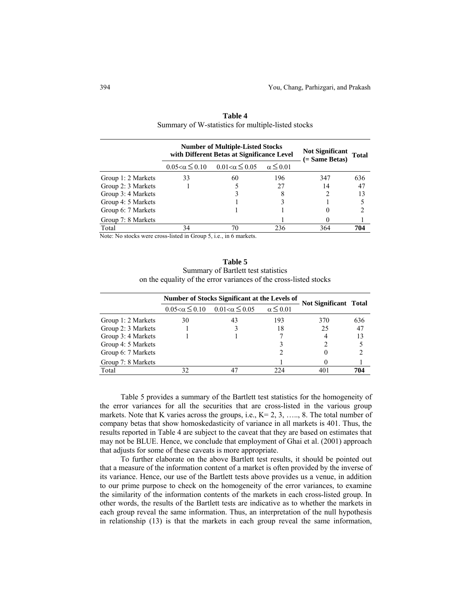|                    | <b>Number of Multiple-Listed Stocks</b><br>with Different Betas at Significance Level |                        |                    | Not Significant Total<br>$( = Same Beta)$ |     |
|--------------------|---------------------------------------------------------------------------------------|------------------------|--------------------|-------------------------------------------|-----|
|                    | $0.05 < \alpha \leq 0.10$                                                             | $0.01<\alpha\leq 0.05$ | $\alpha \leq 0.01$ |                                           |     |
| Group 1: 2 Markets | 33                                                                                    | 60                     | 196                | 347                                       | 636 |
| Group 2: 3 Markets |                                                                                       |                        | 27                 | 14                                        | 47  |
| Group 3: 4 Markets |                                                                                       |                        | 8                  |                                           | 13  |
| Group 4: 5 Markets |                                                                                       |                        |                    |                                           |     |
| Group 6: 7 Markets |                                                                                       |                        |                    |                                           |     |
| Group 7: 8 Markets |                                                                                       |                        |                    |                                           |     |
| Total              | 34                                                                                    | 70                     | 236                | 364                                       | 704 |

| Table 4                                            |  |  |  |  |  |
|----------------------------------------------------|--|--|--|--|--|
| Summary of W-statistics for multiple-listed stocks |  |  |  |  |  |

Note: No stocks were cross-listed in Group 5, i.e., in 6 markets.

**Table 5**  Summary of Bartlett test statistics on the equality of the error variances of the cross-listed stocks

|                    | Number of Stocks Significant at the Levels of |                                                     |                    | <b>Not Significant Total</b> |     |
|--------------------|-----------------------------------------------|-----------------------------------------------------|--------------------|------------------------------|-----|
|                    |                                               | $0.05 < \alpha \leq 0.10$ $0.01 < \alpha \leq 0.05$ | $\alpha \leq 0.01$ |                              |     |
| Group 1: 2 Markets | 30                                            | 43                                                  | 193                | 370                          | 636 |
| Group 2: 3 Markets |                                               |                                                     | 18                 | 25                           | 47  |
| Group 3: 4 Markets |                                               |                                                     |                    |                              | 13  |
| Group 4: 5 Markets |                                               |                                                     |                    |                              |     |
| Group 6: 7 Markets |                                               |                                                     |                    |                              |     |
| Group 7: 8 Markets |                                               |                                                     |                    |                              |     |
| Total              | 32                                            |                                                     | 224                | 401                          | 704 |

 Table 5 provides a summary of the Bartlett test statistics for the homogeneity of the error variances for all the securities that are cross-listed in the various group markets. Note that K varies across the groups, i.e.,  $K = 2, 3, \ldots, 8$ . The total number of company betas that show homoskedasticity of variance in all markets is 401. Thus, the results reported in Table 4 are subject to the caveat that they are based on estimates that may not be BLUE. Hence, we conclude that employment of Ghai et al. (2001) approach that adjusts for some of these caveats is more appropriate.

To further elaborate on the above Bartlett test results, it should be pointed out that a measure of the information content of a market is often provided by the inverse of its variance. Hence, our use of the Bartlett tests above provides us a venue, in addition to our prime purpose to check on the homogeneity of the error variances, to examine the similarity of the information contents of the markets in each cross-listed group. In other words, the results of the Bartlett tests are indicative as to whether the markets in each group reveal the same information. Thus, an interpretation of the null hypothesis in relationship (13) is that the markets in each group reveal the same information,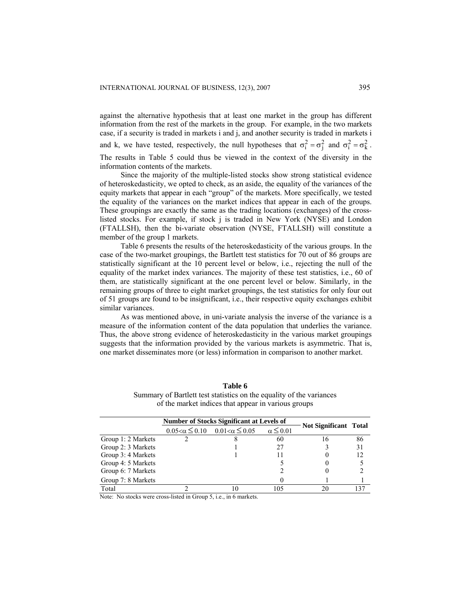information contents of the markets.

against the alternative hypothesis that at least one market in the group has different information from the rest of the markets in the group. For example, in the two markets case, if a security is traded in markets i and j, and another security is traded in markets i and k, we have tested, respectively, the null hypotheses that  $\sigma_i^2 = \sigma_j^2$  and  $\sigma_i^2 = \sigma_k^2$ . The results in Table 5 could thus be viewed in the context of the diversity in the

Since the majority of the multiple-listed stocks show strong statistical evidence of heteroskedasticity, we opted to check, as an aside, the equality of the variances of the equity markets that appear in each "group" of the markets. More specifically, we tested the equality of the variances on the market indices that appear in each of the groups. These groupings are exactly the same as the trading locations (exchanges) of the crosslisted stocks. For example, if stock j is traded in New York (NYSE) and London (FTALLSH), then the bi-variate observation (NYSE, FTALLSH) will constitute a member of the group 1 markets.

Table 6 presents the results of the heteroskedasticity of the various groups. In the case of the two-market groupings, the Bartlett test statistics for 70 out of 86 groups are statistically significant at the 10 percent level or below, i.e., rejecting the null of the equality of the market index variances. The majority of these test statistics, i.e., 60 of them, are statistically significant at the one percent level or below. Similarly, in the remaining groups of three to eight market groupings, the test statistics for only four out of 51 groups are found to be insignificant, i.e., their respective equity exchanges exhibit similar variances.

As was mentioned above, in uni-variate analysis the inverse of the variance is a measure of the information content of the data population that underlies the variance. Thus, the above strong evidence of heteroskedasticity in the various market groupings suggests that the information provided by the various markets is asymmetric. That is, one market disseminates more (or less) information in comparison to another market.

|                    | <b>Number of Stocks Significant at Levels of</b> |                                                     |                    |                       |     |
|--------------------|--------------------------------------------------|-----------------------------------------------------|--------------------|-----------------------|-----|
|                    |                                                  | $0.05 < \alpha \leq 0.10$ $0.01 < \alpha \leq 0.05$ | $\alpha \leq 0.01$ | Not Significant Total |     |
| Group 1: 2 Markets |                                                  |                                                     | 60                 | 16                    | 86  |
| Group 2: 3 Markets |                                                  |                                                     | 27                 |                       | 31  |
| Group 3: 4 Markets |                                                  |                                                     |                    |                       | 12  |
| Group 4: 5 Markets |                                                  |                                                     |                    |                       |     |
| Group 6: 7 Markets |                                                  |                                                     |                    |                       |     |
| Group 7: 8 Markets |                                                  |                                                     | 0                  |                       |     |
| Total              |                                                  |                                                     | 105                | 20                    | 137 |

**Table 6**  Summary of Bartlett test statistics on the equality of the variances of the market indices that appear in various groups

Note: No stocks were cross-listed in Group 5, i.e., in 6 markets.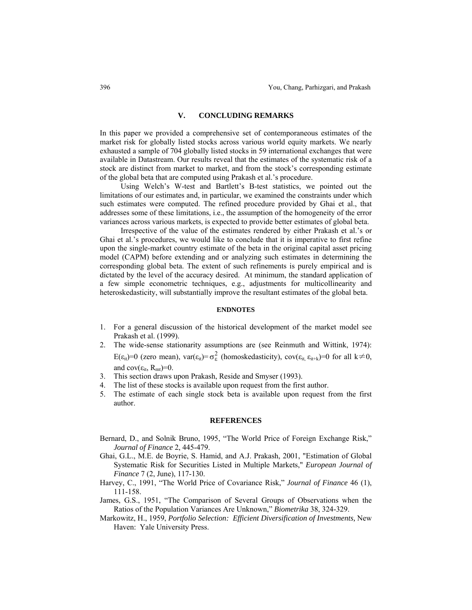# **V. CONCLUDING REMARKS**

In this paper we provided a comprehensive set of contemporaneous estimates of the market risk for globally listed stocks across various world equity markets. We nearly exhausted a sample of 704 globally listed stocks in 59 international exchanges that were available in Datastream. Our results reveal that the estimates of the systematic risk of a stock are distinct from market to market, and from the stock's corresponding estimate of the global beta that are computed using Prakash et al.'s procedure.

Using Welch's W-test and Bartlett's B-test statistics, we pointed out the limitations of our estimates and, in particular, we examined the constraints under which such estimates were computed. The refined procedure provided by Ghai et al., that addresses some of these limitations, i.e., the assumption of the homogeneity of the error variances across various markets, is expected to provide better estimates of global beta.

Irrespective of the value of the estimates rendered by either Prakash et al.'s or Ghai et al.'s procedures, we would like to conclude that it is imperative to first refine upon the single-market country estimate of the beta in the original capital asset pricing model (CAPM) before extending and or analyzing such estimates in determining the corresponding global beta. The extent of such refinements is purely empirical and is dictated by the level of the accuracy desired. At minimum, the standard application of a few simple econometric techniques, e.g., adjustments for multicollinearity and heteroskedasticity, will substantially improve the resultant estimates of the global beta.

## **ENDNOTES**

- 1. For a general discussion of the historical development of the market model see Prakash et al. (1999).
- 2. The wide-sense stationarity assumptions are (see Reinmuth and Wittink, 1974):

E( $\varepsilon_{it}$ )=0 (zero mean), var( $\varepsilon_{it}$ )= $\sigma_{\varepsilon}^2$  (homoskedasticity), cov( $\varepsilon_{it}$ ,  $\varepsilon_{it+k}$ )=0 for all k $\neq$ 0, and  $cov(\epsilon_{it}, R_{mt})=0$ .

- 3. This section draws upon Prakash, Reside and Smyser (1993).
- 4. The list of these stocks is available upon request from the first author.
- 5. The estimate of each single stock beta is available upon request from the first author.

#### **REFERENCES**

- Bernard, D., and Solnik Bruno, 1995, "The World Price of Foreign Exchange Risk," *Journal of Finance* 2, 445-479.
- Ghai, G.L., M.E. de Boyrie, S. Hamid, and A.J. Prakash, 2001, "Estimation of Global Systematic Risk for Securities Listed in Multiple Markets," *European Journal of Finance* 7 (2, June), 117-130.
- Harvey, C., 1991, "The World Price of Covariance Risk," *Journal of Finance* 46 (1), 111-158.
- James, G.S., 1951, "The Comparison of Several Groups of Observations when the Ratios of the Population Variances Are Unknown," *Biometrika* 38, 324-329.
- Markowitz, H., 1959, *Portfolio Selection: Efficient Diversification of Investments,* New Haven: Yale University Press.